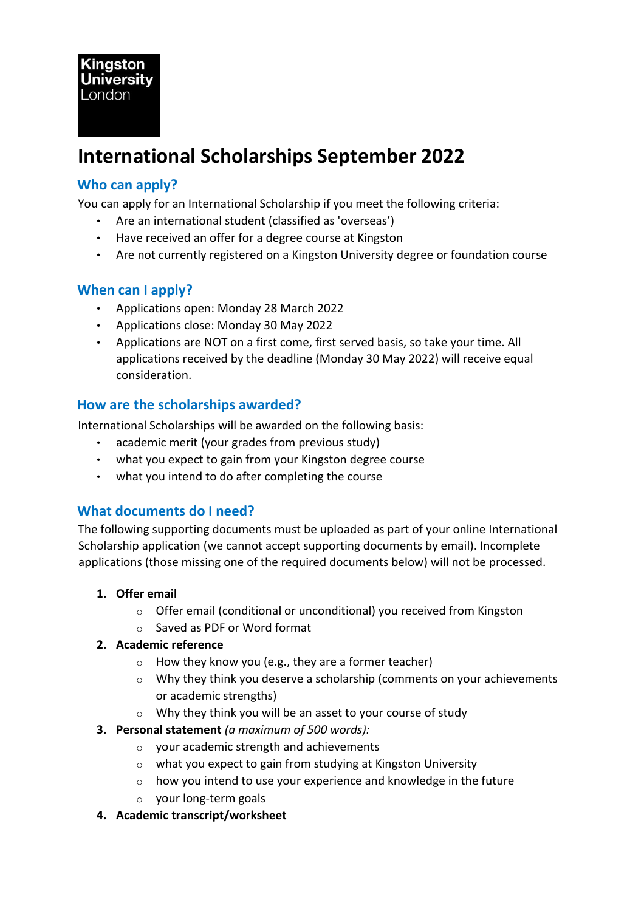# **International Scholarships September 2022**

# **Who can apply?**

You can apply for an International Scholarship if you meet the following criteria:

- Are an international student (classified as 'overseas')
- Have received an offer for a degree course at Kingston
- Are not currently registered on a Kingston University degree or foundation course

# **When can I apply?**

- Applications open: Monday 28 March 2022
- Applications close: Monday 30 May 2022
- Applications are NOT on a first come, first served basis, so take your time. All applications received by the deadline (Monday 30 May 2022) will receive equal consideration.

#### **How are the scholarships awarded?**

International Scholarships will be awarded on the following basis:

- academic merit (your grades from previous study)
- what you expect to gain from your Kingston degree course
- what you intend to do after completing the course

# **What documents do I need?**

The following supporting documents must be uploaded as part of your online International Scholarship application (we cannot accept supporting documents by email). Incomplete applications (those missing one of the required documents below) will not be processed.

#### **1. Offer email**

- o Offer email (conditional or unconditional) you received from Kingston
- o Saved as PDF or Word format

#### **2. Academic reference**

- $\circ$  How they know you (e.g., they are a former teacher)
- o Why they think you deserve a scholarship (comments on your achievements or academic strengths)
- o Why they think you will be an asset to your course of study
- **3. Personal statement** *(a maximum of 500 words):*
	- o your academic strength and achievements
	- o what you expect to gain from studying at Kingston University
	- o how you intend to use your experience and knowledge in the future
	- o your long-term goals
- **4. Academic transcript/worksheet**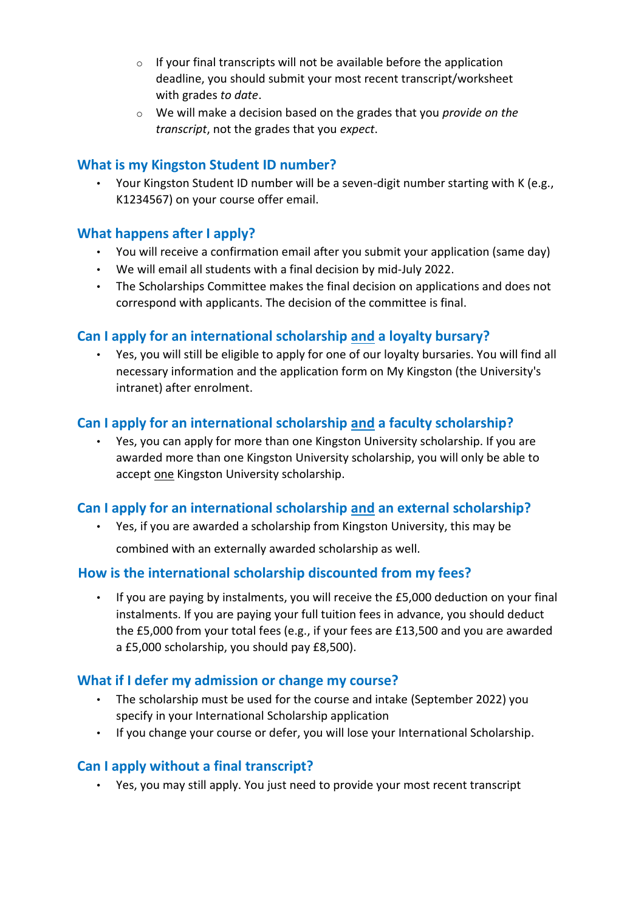- $\circ$  If your final transcripts will not be available before the application deadline, you should submit your most recent transcript/worksheet with grades *to date*.
- o We will make a decision based on the grades that you *provide on the transcript*, not the grades that you *expect*.

#### **What is my Kingston Student ID number?**

• Your Kingston Student ID number will be a seven-digit number starting with K (e.g., K1234567) on your course offer email.

#### **What happens after I apply?**

- You will receive a confirmation email after you submit your application (same day)
- We will email all students with a final decision by mid-July 2022.
- The Scholarships Committee makes the final decision on applications and does not correspond with applicants. The decision of the committee is final.

#### **Can I apply for an international scholarship and a loyalty bursary?**

• Yes, you will still be eligible to apply for one of our loyalty bursaries. You will find all necessary information and the application form on My Kingston (the University's intranet) after enrolment.

# **Can I apply for an international scholarship and a faculty scholarship?**

• Yes, you can apply for more than one Kingston University scholarship. If you are awarded more than one Kingston University scholarship, you will only be able to accept one Kingston University scholarship.

#### **Can I apply for an international scholarship and an external scholarship?**

• Yes, if you are awarded a scholarship from Kingston University, this may be

combined with an externally awarded scholarship as well.

#### **How is the international scholarship discounted from my fees?**

• If you are paying by instalments, you will receive the £5,000 deduction on your final instalments. If you are paying your full tuition fees in advance, you should deduct the £5,000 from your total fees (e.g., if your fees are £13,500 and you are awarded a £5,000 scholarship, you should pay £8,500).

#### **What if I defer my admission or change my course?**

- The scholarship must be used for the course and intake (September 2022) you specify in your International Scholarship application
- If you change your course or defer, you will lose your International Scholarship.

# **Can I apply without a final transcript?**

• Yes, you may still apply. You just need to provide your most recent transcript